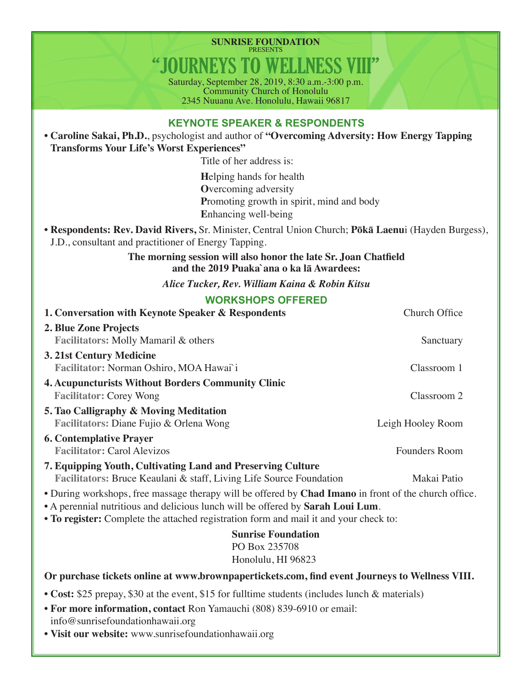**SUNRISE FOUNDATION** PRESENTS "JOURNEYS TO WELLNESS VIII"

Saturday, September 28, 2019, 8:30 a.m.-3:00 p.m. Community Church of Honolulu 2345 Nuuanu Ave. Honolulu, Hawaii 96817

## **KEYNOTE SPEAKER & RESPONDENTS**

• **Caroline Sakai, Ph.D.**, psychologist and author of **"Overcoming Adversity: How Energy Tapping Transforms Your Life's Worst Experiences"**

Title of her address is:

**H**elping hands for health **O**vercoming adversity **P**romoting growth in spirit, mind and body **E**nhancing well-being

• **Respondents: Rev. David Rivers,** Sr. Minister, Central Union Church; **Pōkā Laenu**i (Hayden Burgess), J.D., consultant and practitioner of Energy Tapping.

> **The morning session will also honor the late Sr. Joan Chatfield and the 2019 Puaka`ana o ka lā Awardees:**

> > *Alice Tucker, Rev. William Kaina & Robin Kitsu*

## **WORKSHOPS OFFERED**

| 1. Conversation with Keynote Speaker & Respondents                                                                                                                                                                                                                                | Church Office        |
|-----------------------------------------------------------------------------------------------------------------------------------------------------------------------------------------------------------------------------------------------------------------------------------|----------------------|
| 2. Blue Zone Projects                                                                                                                                                                                                                                                             |                      |
| Facilitators: Molly Mamaril & others                                                                                                                                                                                                                                              | Sanctuary            |
| 3. 21st Century Medicine                                                                                                                                                                                                                                                          |                      |
| Facilitator: Norman Oshiro, MOA Hawai`i                                                                                                                                                                                                                                           | Classroom 1          |
| <b>4. Acupuncturists Without Borders Community Clinic</b>                                                                                                                                                                                                                         |                      |
| <b>Facilitator: Corey Wong</b>                                                                                                                                                                                                                                                    | Classroom 2          |
| 5. Tao Calligraphy & Moving Meditation                                                                                                                                                                                                                                            |                      |
| Facilitators: Diane Fujio & Orlena Wong                                                                                                                                                                                                                                           | Leigh Hooley Room    |
| <b>6. Contemplative Prayer</b>                                                                                                                                                                                                                                                    |                      |
| <b>Facilitator: Carol Alevizos</b>                                                                                                                                                                                                                                                | <b>Founders Room</b> |
| 7. Equipping Youth, Cultivating Land and Preserving Culture<br>Facilitators: Bruce Keaulani & staff, Living Life Source Foundation                                                                                                                                                | Makai Patio          |
| • During workshops, free massage therapy will be offered by Chad Imano in front of the church office.<br>• A perennial nutritious and delicious lunch will be offered by Sarah Loui Lum.<br>• To register: Complete the attached registration form and mail it and your check to: |                      |
| <b>Sunrise Foundation</b><br>PO Box 235708<br>Honolulu, HI 96823                                                                                                                                                                                                                  |                      |
| Or purchase tickets online at www.brownpapertickets.com, find event Journeys to Wellness VIII.                                                                                                                                                                                    |                      |
| • Cost: \$25 prepay, \$30 at the event, \$15 for fulltime students (includes lunch & materials)                                                                                                                                                                                   |                      |
|                                                                                                                                                                                                                                                                                   |                      |

- **For more information, contact** Ron Yamauchi (808) 839-6910 or email: info@sunrisefoundationhawaii.org
- **Visit our website:** www.sunrisefoundationhawaii.org